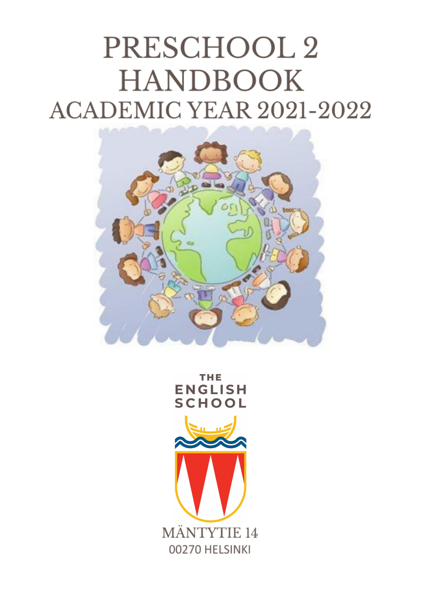# PRESCHOOL 2 **HANDBOOK ACADEMIC YEAR 2021-2022**



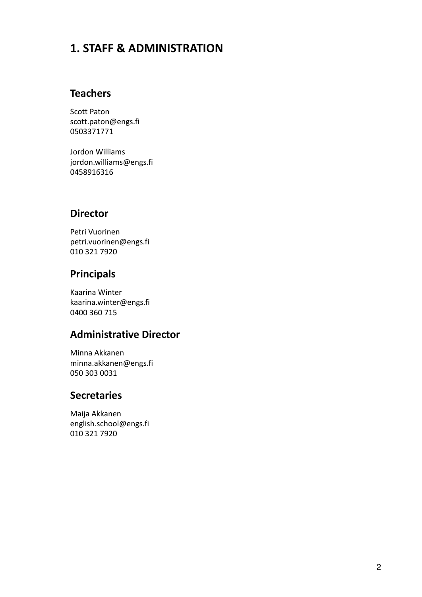# **1. STAFF & ADMINISTRATION**

## **Teachers**

Scott Paton scott.paton@engs.fi 0503371771

Jordon Williams jordon.williams@engs.fi 0458916316

## **Director**

Petri Vuorinen petri.vuorinen@engs.fi 010 321 7920

## **Principals**

Kaarina Winter kaarina.winter@engs.fi 0400 360 715

## **Administrative Director**

Minna Akkanen minna.akkanen@engs.fi 050 303 0031

#### **Secretaries**

Maija Akkanen english.school@engs.fi 010 321 7920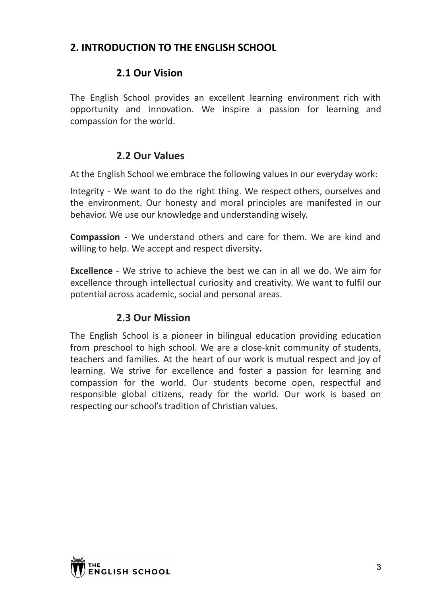# **2. INTRODUCTION TO THE ENGLISH SCHOOL**

## **2.1 Our Vision**

The English School provides an excellent learning environment rich with opportunity and innovation. We inspire a passion for learning and compassion for the world.

## **2.2 Our Values**

At the English School we embrace the following values in our everyday work:

Integrity - We want to do the right thing. We respect others, ourselves and the environment. Our honesty and moral principles are manifested in our behavior. We use our knowledge and understanding wisely.

**Compassion** - We understand others and care for them. We are kind and willing to help. We accept and respect diversity**.**

**Excellence** - We strive to achieve the best we can in all we do. We aim for excellence through intellectual curiosity and creativity. We want to fulfil our potential across academic, social and personal areas.

## **2.3 Our Mission**

The English School is a pioneer in bilingual education providing education from preschool to high school. We are a close-knit community of students, teachers and families. At the heart of our work is mutual respect and joy of learning. We strive for excellence and foster a passion for learning and compassion for the world. Our students become open, respectful and responsible global citizens, ready for the world. Our work is based on respecting our school's tradition of Christian values.

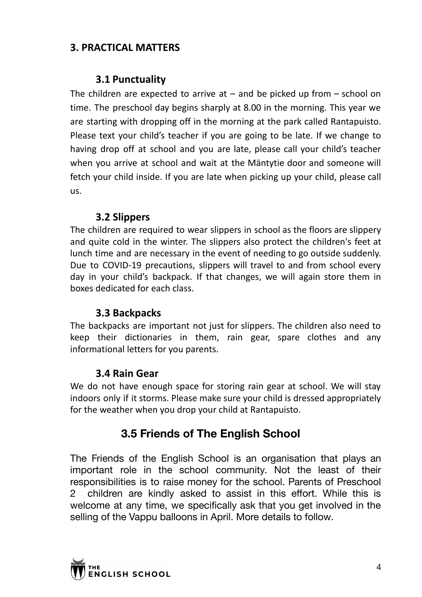# **3. PRACTICAL MATTERS**

## **3.1 Punctuality**

The children are expected to arrive at  $-$  and be picked up from  $-$  school on time. The preschool day begins sharply at 8.00 in the morning. This year we are starting with dropping off in the morning at the park called Rantapuisto. Please text your child's teacher if you are going to be late. If we change to having drop off at school and you are late, please call your child's teacher when you arrive at school and wait at the Mäntytie door and someone will fetch your child inside. If you are late when picking up your child, please call us.

## **3.2 Slippers**

The children are required to wear slippers in school as the floors are slippery and quite cold in the winter. The slippers also protect the children's feet at lunch time and are necessary in the event of needing to go outside suddenly. Due to COVID-19 precautions, slippers will travel to and from school every day in your child's backpack. If that changes, we will again store them in boxes dedicated for each class.

## **3.3 Backpacks**

The backpacks are important not just for slippers. The children also need to keep their dictionaries in them, rain gear, spare clothes and any informational letters for you parents.

## **3.4 Rain Gear**

We do not have enough space for storing rain gear at school. We will stay indoors only if it storms. Please make sure your child is dressed appropriately for the weather when you drop your child at Rantapuisto.

# **3.5 Friends of The English School**

The Friends of the English School is an organisation that plays an important role in the school community. Not the least of their responsibilities is to raise money for the school. Parents of Preschool 2 children are kindly asked to assist in this effort. While this is welcome at any time, we specifically ask that you get involved in the selling of the Vappu balloons in April. More details to follow.

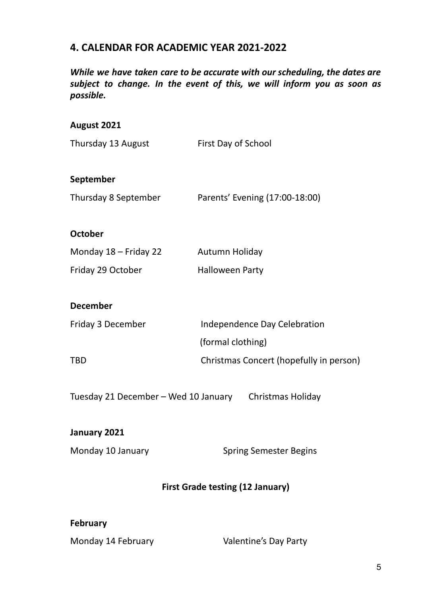## **4. CALENDAR FOR ACADEMIC YEAR 2021-2022**

*While we have taken care to be accurate with our scheduling, the dates are subject to change. In the event of this, we will inform you as soon as possible.*

#### **August 2021**

| Thursday 13 August      | First Day of School                     |  |
|-------------------------|-----------------------------------------|--|
| September               |                                         |  |
| Thursday 8 September    | Parents' Evening (17:00-18:00)          |  |
|                         |                                         |  |
| <b>October</b>          |                                         |  |
| Monday $18$ – Friday 22 | Autumn Holiday                          |  |
| Friday 29 October       | <b>Halloween Party</b>                  |  |
|                         |                                         |  |
| <b>December</b>         |                                         |  |
| Friday 3 December       | Independence Day Celebration            |  |
|                         | (formal clothing)                       |  |
| TBD                     | Christmas Concert (hopefully in person) |  |
|                         |                                         |  |

Tuesday 21 December – Wed 10 January Christmas Holiday

## **January 2021**

Monday 10 January Spring Semester Begins

## **First Grade testing (12 January)**

#### **February**

Monday 14 February **Valentine's Day Party**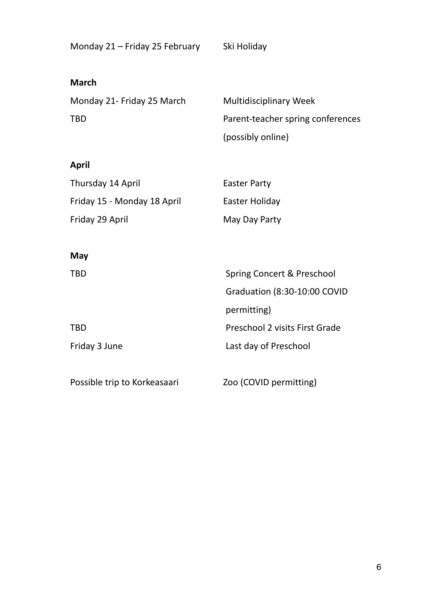| Monday 21 - Friday 25 February | Ski Holiday |
|--------------------------------|-------------|
|--------------------------------|-------------|

#### **March**

Monday 21- Friday 25 March Multidisciplinary Week

TBD Parent-teacher spring conferences (possibly online)

## **April**

| Thursday 14 April           | <b>Easter Party</b> |
|-----------------------------|---------------------|
| Friday 15 - Monday 18 April | Easter Holiday      |
| Friday 29 April             | May Day Party       |

TBD Preschool 2 visits First Grade

#### **May**

TBD Spring Concert & Preschool

Friday 3 June Last day of Preschool

Possible trip to Korkeasaari Zoo (COVID permitting)

permitting)

Graduation (8:30-10:00 COVID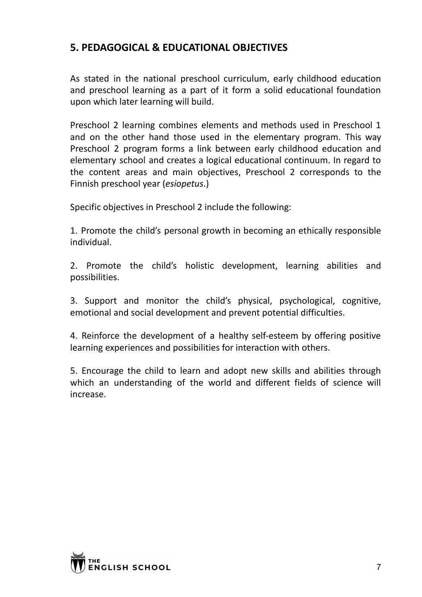# **5. PEDAGOGICAL & EDUCATIONAL OBJECTIVES**

As stated in the national preschool curriculum, early childhood education and preschool learning as a part of it form a solid educational foundation upon which later learning will build.

Preschool 2 learning combines elements and methods used in Preschool 1 and on the other hand those used in the elementary program. This way Preschool 2 program forms a link between early childhood education and elementary school and creates a logical educational continuum. In regard to the content areas and main objectives, Preschool 2 corresponds to the Finnish preschool year (*esiopetus*.)

Specific objectives in Preschool 2 include the following:

1. Promote the child's personal growth in becoming an ethically responsible individual.

2. Promote the child's holistic development, learning abilities and possibilities.

3. Support and monitor the child's physical, psychological, cognitive, emotional and social development and prevent potential difficulties.

4. Reinforce the development of a healthy self-esteem by offering positive learning experiences and possibilities for interaction with others.

5. Encourage the child to learn and adopt new skills and abilities through which an understanding of the world and different fields of science will increase.

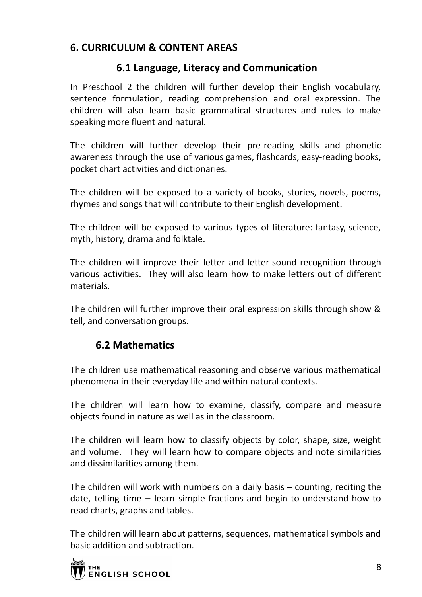# **6. CURRICULUM & CONTENT AREAS**

## **6.1 Language, Literacy and Communication**

In Preschool 2 the children will further develop their English vocabulary, sentence formulation, reading comprehension and oral expression. The children will also learn basic grammatical structures and rules to make speaking more fluent and natural.

The children will further develop their pre-reading skills and phonetic awareness through the use of various games, flashcards, easy-reading books, pocket chart activities and dictionaries.

The children will be exposed to a variety of books, stories, novels, poems, rhymes and songs that will contribute to their English development.

The children will be exposed to various types of literature: fantasy, science, myth, history, drama and folktale.

The children will improve their letter and letter-sound recognition through various activities. They will also learn how to make letters out of different materials.

The children will further improve their oral expression skills through show & tell, and conversation groups.

# **6.2 Mathematics**

The children use mathematical reasoning and observe various mathematical phenomena in their everyday life and within natural contexts.

The children will learn how to examine, classify, compare and measure objects found in nature as well as in the classroom.

The children will learn how to classify objects by color, shape, size, weight and volume. They will learn how to compare objects and note similarities and dissimilarities among them.

The children will work with numbers on a daily basis – counting, reciting the date, telling time – learn simple fractions and begin to understand how to read charts, graphs and tables.

The children will learn about patterns, sequences, mathematical symbols and basic addition and subtraction.

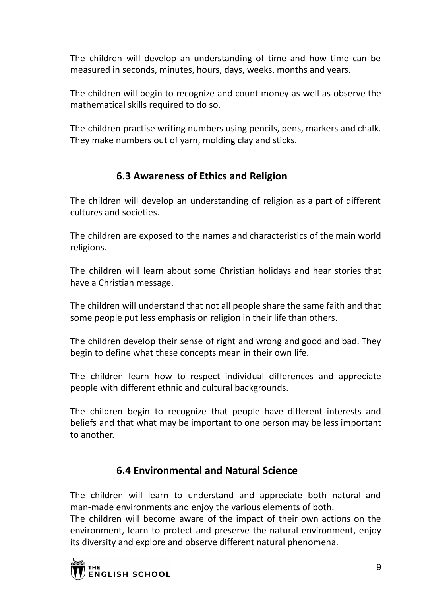The children will develop an understanding of time and how time can be measured in seconds, minutes, hours, days, weeks, months and years.

The children will begin to recognize and count money as well as observe the mathematical skills required to do so.

The children practise writing numbers using pencils, pens, markers and chalk. They make numbers out of yarn, molding clay and sticks.

## **6.3 Awareness of Ethics and Religion**

The children will develop an understanding of religion as a part of different cultures and societies.

The children are exposed to the names and characteristics of the main world religions.

The children will learn about some Christian holidays and hear stories that have a Christian message.

The children will understand that not all people share the same faith and that some people put less emphasis on religion in their life than others.

The children develop their sense of right and wrong and good and bad. They begin to define what these concepts mean in their own life.

The children learn how to respect individual differences and appreciate people with different ethnic and cultural backgrounds.

The children begin to recognize that people have different interests and beliefs and that what may be important to one person may be less important to another.

# **6.4 Environmental and Natural Science**

The children will learn to understand and appreciate both natural and man-made environments and enjoy the various elements of both.

The children will become aware of the impact of their own actions on the environment, learn to protect and preserve the natural environment, enjoy its diversity and explore and observe different natural phenomena.

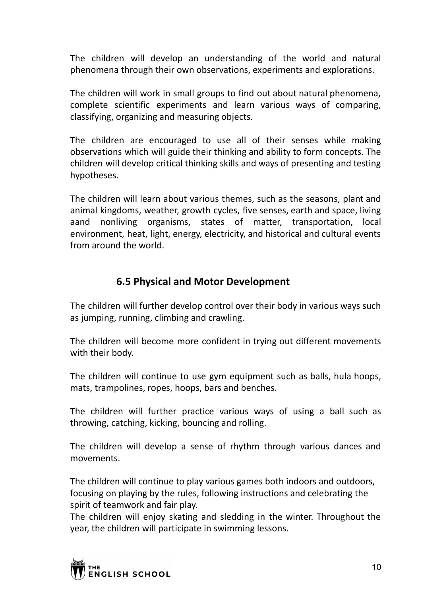The children will develop an understanding of the world and natural phenomena through their own observations, experiments and explorations.

The children will work in small groups to find out about natural phenomena, complete scientific experiments and learn various ways of comparing, classifying, organizing and measuring objects.

The children are encouraged to use all of their senses while making observations which will guide their thinking and ability to form concepts. The children will develop critical thinking skills and ways of presenting and testing hypotheses.

The children will learn about various themes, such as the seasons, plant and animal kingdoms, weather, growth cycles, five senses, earth and space, living aand nonliving organisms, states of matter, transportation, local environment, heat, light, energy, electricity, and historical and cultural events from around the world.

## **6.5 Physical and Motor Development**

The children will further develop control over their body in various ways such as jumping, running, climbing and crawling.

The children will become more confident in trying out different movements with their body.

The children will continue to use gym equipment such as balls, hula hoops, mats, trampolines, ropes, hoops, bars and benches.

The children will further practice various ways of using a ball such as throwing, catching, kicking, bouncing and rolling.

The children will develop a sense of rhythm through various dances and movements.

The children will continue to play various games both indoors and outdoors, focusing on playing by the rules, following instructions and celebrating the spirit of teamwork and fair play.

The children will enjoy skating and sledding in the winter. Throughout the year, the children will participate in swimming lessons.

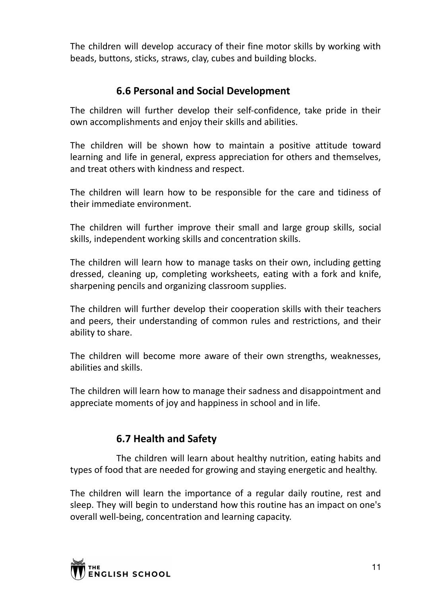The children will develop accuracy of their fine motor skills by working with beads, buttons, sticks, straws, clay, cubes and building blocks.

## **6.6 Personal and Social Development**

The children will further develop their self-confidence, take pride in their own accomplishments and enjoy their skills and abilities.

The children will be shown how to maintain a positive attitude toward learning and life in general, express appreciation for others and themselves, and treat others with kindness and respect.

The children will learn how to be responsible for the care and tidiness of their immediate environment.

The children will further improve their small and large group skills, social skills, independent working skills and concentration skills.

The children will learn how to manage tasks on their own, including getting dressed, cleaning up, completing worksheets, eating with a fork and knife, sharpening pencils and organizing classroom supplies.

The children will further develop their cooperation skills with their teachers and peers, their understanding of common rules and restrictions, and their ability to share.

The children will become more aware of their own strengths, weaknesses, abilities and skills.

The children will learn how to manage their sadness and disappointment and appreciate moments of joy and happiness in school and in life.

# **6.7 Health and Safety**

The children will learn about healthy nutrition, eating habits and types of food that are needed for growing and staying energetic and healthy.

The children will learn the importance of a regular daily routine, rest and sleep. They will begin to understand how this routine has an impact on one's overall well-being, concentration and learning capacity.

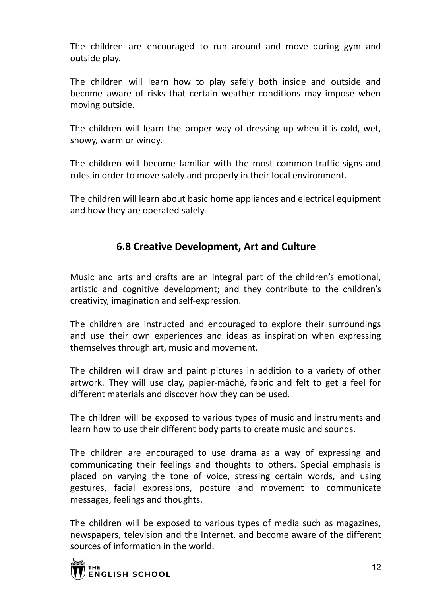The children are encouraged to run around and move during gym and outside play.

The children will learn how to play safely both inside and outside and become aware of risks that certain weather conditions may impose when moving outside.

The children will learn the proper way of dressing up when it is cold, wet, snowy, warm or windy.

The children will become familiar with the most common traffic signs and rules in order to move safely and properly in their local environment.

The children will learn about basic home appliances and electrical equipment and how they are operated safely.

# **6.8 Creative Development, Art and Culture**

Music and arts and crafts are an integral part of the children's emotional, artistic and cognitive development; and they contribute to the children's creativity, imagination and self-expression.

The children are instructed and encouraged to explore their surroundings and use their own experiences and ideas as inspiration when expressing themselves through art, music and movement.

The children will draw and paint pictures in addition to a variety of other artwork. They will use clay, papier-mâché, fabric and felt to get a feel for different materials and discover how they can be used.

The children will be exposed to various types of music and instruments and learn how to use their different body parts to create music and sounds.

The children are encouraged to use drama as a way of expressing and communicating their feelings and thoughts to others. Special emphasis is placed on varying the tone of voice, stressing certain words, and using gestures, facial expressions, posture and movement to communicate messages, feelings and thoughts.

The children will be exposed to various types of media such as magazines, newspapers, television and the Internet, and become aware of the different sources of information in the world.

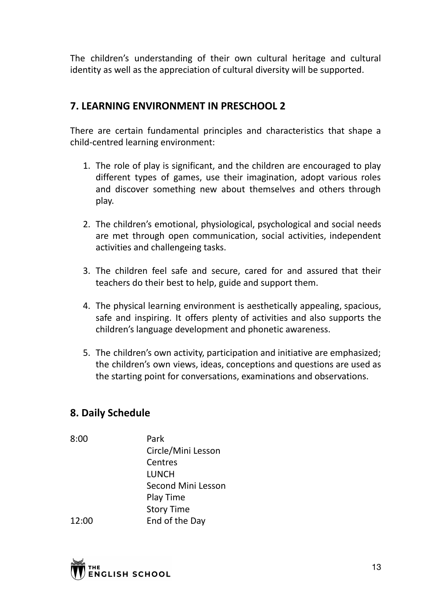The children's understanding of their own cultural heritage and cultural identity as well as the appreciation of cultural diversity will be supported.

## **7. LEARNING ENVIRONMENT IN PRESCHOOL 2**

There are certain fundamental principles and characteristics that shape a child-centred learning environment:

- 1. The role of play is significant, and the children are encouraged to play different types of games, use their imagination, adopt various roles and discover something new about themselves and others through play.
- 2. The children's emotional, physiological, psychological and social needs are met through open communication, social activities, independent activities and challengeing tasks.
- 3. The children feel safe and secure, cared for and assured that their teachers do their best to help, guide and support them.
- 4. The physical learning environment is aesthetically appealing, spacious, safe and inspiring. It offers plenty of activities and also supports the children's language development and phonetic awareness.
- 5. The children's own activity, participation and initiative are emphasized; the children's own views, ideas, conceptions and questions are used as the starting point for conversations, examinations and observations.

## **8. Daily Schedule**

8:00 Park Circle/Mini Lesson Centres LUNCH Second Mini Lesson Play Time Story Time 12:00 End of the Day

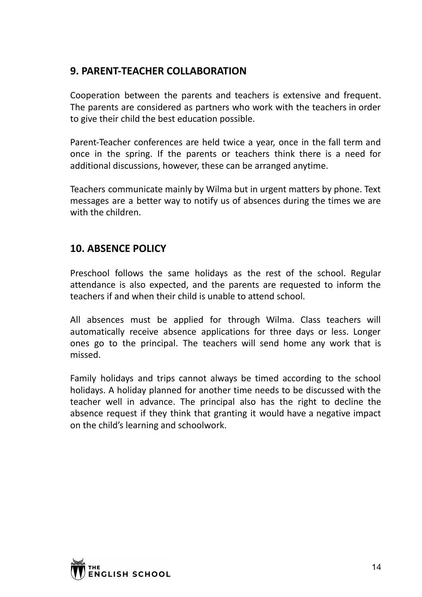# **9. PARENT-TEACHER COLLABORATION**

Cooperation between the parents and teachers is extensive and frequent. The parents are considered as partners who work with the teachers in order to give their child the best education possible.

Parent-Teacher conferences are held twice a year, once in the fall term and once in the spring. If the parents or teachers think there is a need for additional discussions, however, these can be arranged anytime.

Teachers communicate mainly by Wilma but in urgent matters by phone. Text messages are a better way to notify us of absences during the times we are with the children.

# **10. ABSENCE POLICY**

Preschool follows the same holidays as the rest of the school. Regular attendance is also expected, and the parents are requested to inform the teachers if and when their child is unable to attend school.

All absences must be applied for through Wilma. Class teachers will automatically receive absence applications for three days or less. Longer ones go to the principal. The teachers will send home any work that is missed.

Family holidays and trips cannot always be timed according to the school holidays. A holiday planned for another time needs to be discussed with the teacher well in advance. The principal also has the right to decline the absence request if they think that granting it would have a negative impact on the child's learning and schoolwork.

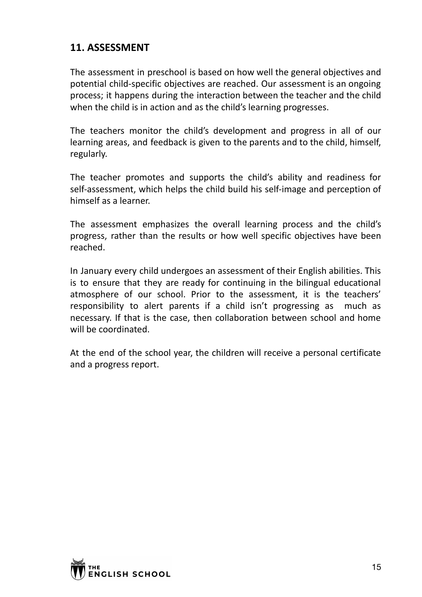## **11. ASSESSMENT**

The assessment in preschool is based on how well the general objectives and potential child-specific objectives are reached. Our assessment is an ongoing process; it happens during the interaction between the teacher and the child when the child is in action and as the child's learning progresses.

The teachers monitor the child's development and progress in all of our learning areas, and feedback is given to the parents and to the child, himself, regularly.

The teacher promotes and supports the child's ability and readiness for self-assessment, which helps the child build his self-image and perception of himself as a learner.

The assessment emphasizes the overall learning process and the child's progress, rather than the results or how well specific objectives have been reached.

In January every child undergoes an assessment of their English abilities. This is to ensure that they are ready for continuing in the bilingual educational atmosphere of our school. Prior to the assessment, it is the teachers' responsibility to alert parents if a child isn't progressing as much as necessary. If that is the case, then collaboration between school and home will be coordinated.

At the end of the school year, the children will receive a personal certificate and a progress report.

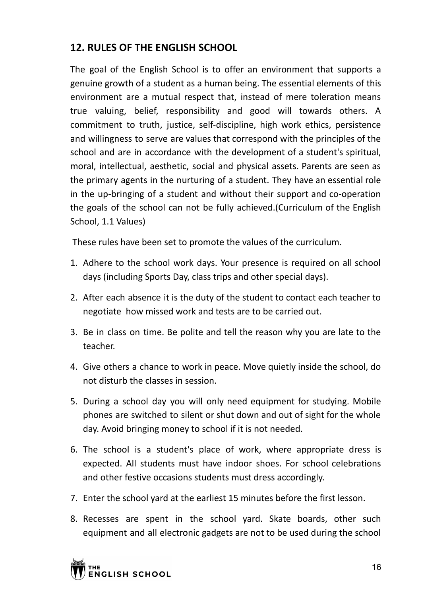# **12. RULES OF THE ENGLISH SCHOOL**

The goal of the English School is to offer an environment that supports a genuine growth of a student as a human being. The essential elements of this environment are a mutual respect that, instead of mere toleration means true valuing, belief, responsibility and good will towards others. A commitment to truth, justice, self-discipline, high work ethics, persistence and willingness to serve are values that correspond with the principles of the school and are in accordance with the development of a student's spiritual, moral, intellectual, aesthetic, social and physical assets. Parents are seen as the primary agents in the nurturing of a student. They have an essential role in the up-bringing of a student and without their support and co-operation the goals of the school can not be fully achieved.(Curriculum of the English School, 1.1 Values)

These rules have been set to promote the values of the curriculum.

- 1. Adhere to the school work days. Your presence is required on all school days (including Sports Day, class trips and other special days).
- 2. After each absence it is the duty of the student to contact each teacher to negotiate how missed work and tests are to be carried out.
- 3. Be in class on time. Be polite and tell the reason why you are late to the teacher.
- 4. Give others a chance to work in peace. Move quietly inside the school, do not disturb the classes in session.
- 5. During a school day you will only need equipment for studying. Mobile phones are switched to silent or shut down and out of sight for the whole day. Avoid bringing money to school if it is not needed.
- 6. The school is a student's place of work, where appropriate dress is expected. All students must have indoor shoes. For school celebrations and other festive occasions students must dress accordingly.
- 7. Enter the school yard at the earliest 15 minutes before the first lesson.
- 8. Recesses are spent in the school yard. Skate boards, other such equipment and all electronic gadgets are not to be used during the school